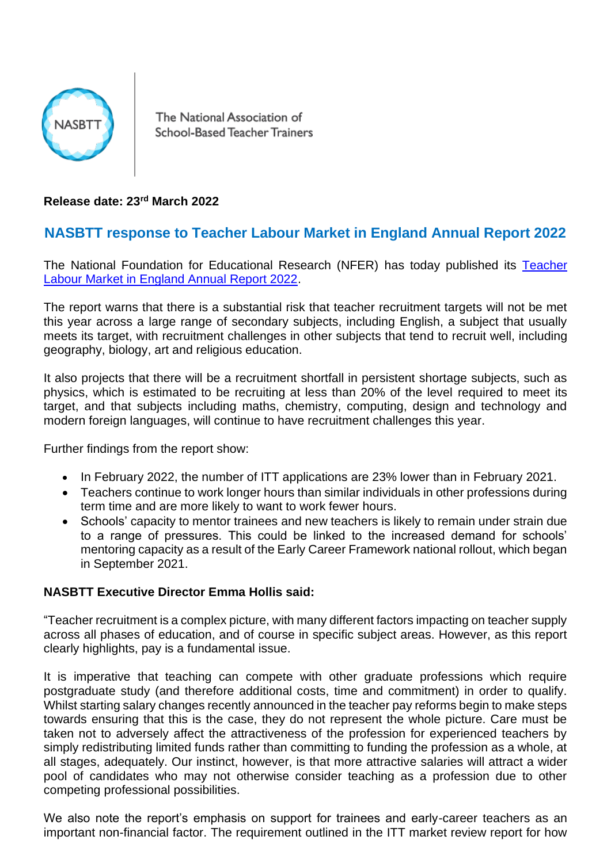

The National Association of School-Based Teacher Trainers

**Release date: 23rd March 2022**

## **NASBTT response to Teacher Labour Market in England Annual Report 2022**

The National Foundation for Educational Research (NFER) has today published its [Teacher](https://www.nfer.ac.uk/media/4885/teacher_labour_market_in_england_annual_report_2022.pdf)  [Labour Market in England Annual Report 2022.](https://www.nfer.ac.uk/media/4885/teacher_labour_market_in_england_annual_report_2022.pdf)

The report warns that there is a substantial risk that teacher recruitment targets will not be met this year across a large range of secondary subjects, including English, a subject that usually meets its target, with recruitment challenges in other subjects that tend to recruit well, including geography, biology, art and religious education.

It also projects that there will be a recruitment shortfall in persistent shortage subjects, such as physics, which is estimated to be recruiting at less than 20% of the level required to meet its target, and that subjects including maths, chemistry, computing, design and technology and modern foreign languages, will continue to have recruitment challenges this year.

Further findings from the report show:

- In February 2022, the number of ITT applications are 23% lower than in February 2021.
- Teachers continue to work longer hours than similar individuals in other professions during term time and are more likely to want to work fewer hours.
- Schools' capacity to mentor trainees and new teachers is likely to remain under strain due to a range of pressures. This could be linked to the increased demand for schools' mentoring capacity as a result of the Early Career Framework national rollout, which began in September 2021.

## **NASBTT Executive Director Emma Hollis said:**

"Teacher recruitment is a complex picture, with many different factors impacting on teacher supply across all phases of education, and of course in specific subject areas. However, as this report clearly highlights, pay is a fundamental issue.

It is imperative that teaching can compete with other graduate professions which require postgraduate study (and therefore additional costs, time and commitment) in order to qualify. Whilst starting salary changes recently announced in the teacher pay reforms begin to make steps towards ensuring that this is the case, they do not represent the whole picture. Care must be taken not to adversely affect the attractiveness of the profession for experienced teachers by simply redistributing limited funds rather than committing to funding the profession as a whole, at all stages, adequately. Our instinct, however, is that more attractive salaries will attract a wider pool of candidates who may not otherwise consider teaching as a profession due to other competing professional possibilities.

We also note the report's emphasis on support for trainees and early-career teachers as an important non-financial factor. The requirement outlined in the ITT market review report for how